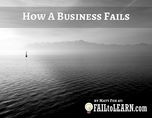## **How A Business Fails**

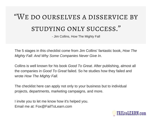# "We do ourselves a disservice by STUDYING ONLY SUCCESS."

- Jim Collins, How The Mighty Fall

The 5 stages in this checklist come from Jim Collins' fantastic book, *How The Mighty Fall: And Why Some [Companies](http://amzn.to/1OBniZd) Never Give In*.

Collins is well known for his book *Good To [Great](http://amzn.to/29hseA3)*. After publishing, almost all the companies in *Good To [Great](http://amzn.to/29hseA3)* failed. So he studies how they failed and wrote *How The Mighty Fall.*

The checklist here can apply not only to your business but to individual projects, departments, marketing campaigns, and more.

I invite you to let me know how it's helped you. Email me at: Fox@FailToLearn.com

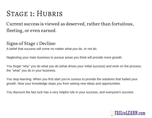### Stage 1: Hubris

Current success is viewed as deserved, rather than fortuitous, fleeting, or even earned.

#### Signs of Stage 1 Decline:

A belief that success will come no matter what you do, or not do.

Neglecting your main business to pursue areas you think will provide more growth.

You forget "why" you do what you do (what drives your initial success) and work on the process, the "what" you do in your business.

You stop learning. When you first start you're curious to provide the solutions that fueled your growth. Now your knowledge stops you from seeing new ideas and opportunities.

You discount the fact luck has a very helpful role in your success, and everyone's success.

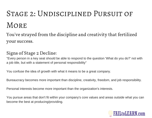# Stage 2: Undisciplined Pursuit of **MORE**

You ' ve strayed from the discipline and creativity that fertilized your success.

#### Signs of Stage 2 Decline:

"Every person in a key seat should be able to respond to the question 'What do you do?' not with a job title, but with a statement of personal responsibility"

You confuse the idea of growth with what it means to be a great company.

Bureaucracy becomes more important than discipline, creativity, freedom, and job responsibility.

Personal interests become more important than the organization's interests.

You pursue areas that don't fit within your company's core values and areas outside what you can become the best at producing/providing.

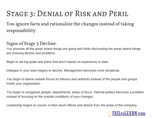## Stage 3: Denial of Risk and Peril

You ignore facts and rationalize the changes instead of taking responsibility.

#### Signs of Stage 3 Decline:

You promote all the areas where things are going well while discounting the areas where things are showing decline and problems.

Begin to set big goals and plans that aren't based on experience or data.

Dialogue in your team begins to decline. Management becomes more dictatorial.

You begin to blame outside forces for failures and setbacks instead of the people and groups inside your organization.

You begin to reorganize people, departments, areas of focus. Internal politics becomes a problem instead of focusing on the outside conditions of your changes.

Leadership begins to cocoon in their plush offices and detach from the pulse of the company.

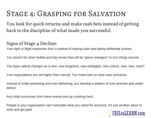## Stage 4: Grasping for Salvation

You look for quick returns and make rash bets instead of getting back to the discipline of what made you successful.

#### Signs of Stage 4 Decline:

Your fight or flight responses kick in instead of staying calm and taking deliberate actions.

You search for silver bullets and big moves that will be "game changers" to turn things around.

You hype radical changes as a new: new programs, new strategies, new culture, new, new, new!!!

Your expectations are set higher than normal. You make bets on best case scenarios.

Instead of under-promising and over-delivering, you develop a pattern of over-promise and underdeliver.

Any initial successes from these events end up crashing hard.

People in your organization can't articulate what you stand for anymore. It's just another place to work and get paid.

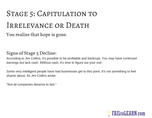# STAGE 5: CAPITULATION TO IRRELEVANCE OR DEATH

You realize that hope is gone.

#### Signs of Stage 5 Decline:

According to Jim Collins, it's possible to be profitable and bankrupt. You may have continued earnings but lack cash. Without cash, it's time to figure out your exit.

Some very intelligent people have had businesses get to this point. It's not something to feel shame about. As Jim Collins wrote:

"Not all companies deserve to last."